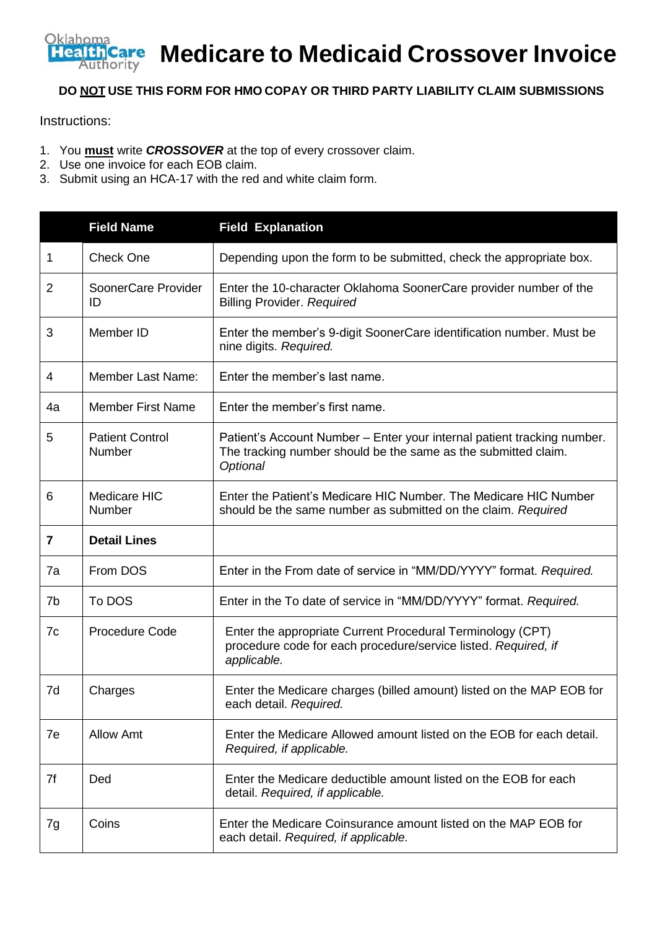

**Medicare to Medicaid Crossover Invoice**

## **DO NOT USE THIS FORM FOR HMO COPAY OR THIRD PARTY LIABILITY CLAIM SUBMISSIONS**

Instructions:

- 1. You **must** write *CROSSOVER* at the top of every crossover claim.
- 2. Use one invoice for each EOB claim.
- 3. Submit using an HCA-17 with the red and white claim form.

|                | <b>Field Name</b>                | <b>Field Explanation</b>                                                                                                                              |
|----------------|----------------------------------|-------------------------------------------------------------------------------------------------------------------------------------------------------|
| 1              | <b>Check One</b>                 | Depending upon the form to be submitted, check the appropriate box.                                                                                   |
| $\overline{2}$ | SoonerCare Provider<br>ID        | Enter the 10-character Oklahoma SoonerCare provider number of the<br><b>Billing Provider. Required</b>                                                |
| 3              | Member ID                        | Enter the member's 9-digit SoonerCare identification number. Must be<br>nine digits. Required.                                                        |
| 4              | <b>Member Last Name:</b>         | Enter the member's last name.                                                                                                                         |
| 4a             | <b>Member First Name</b>         | Enter the member's first name.                                                                                                                        |
| 5              | <b>Patient Control</b><br>Number | Patient's Account Number - Enter your internal patient tracking number.<br>The tracking number should be the same as the submitted claim.<br>Optional |
| 6              | Medicare HIC<br>Number           | Enter the Patient's Medicare HIC Number. The Medicare HIC Number<br>should be the same number as submitted on the claim. Required                     |
| 7              | <b>Detail Lines</b>              |                                                                                                                                                       |
| 7a             | From DOS                         | Enter in the From date of service in "MM/DD/YYYY" format. Required.                                                                                   |
| 7b             | To DOS                           | Enter in the To date of service in "MM/DD/YYYY" format. Required.                                                                                     |
| 7c             | <b>Procedure Code</b>            | Enter the appropriate Current Procedural Terminology (CPT)<br>procedure code for each procedure/service listed. Required, if<br>applicable.           |
| 7d             | Charges                          | Enter the Medicare charges (billed amount) listed on the MAP EOB for<br>each detail. Required.                                                        |
| 7e             | <b>Allow Amt</b>                 | Enter the Medicare Allowed amount listed on the EOB for each detail.<br>Required, if applicable.                                                      |
| 7f             | Ded                              | Enter the Medicare deductible amount listed on the EOB for each<br>detail. Required, if applicable.                                                   |
| 7g             | Coins                            | Enter the Medicare Coinsurance amount listed on the MAP EOB for<br>each detail. Required, if applicable.                                              |